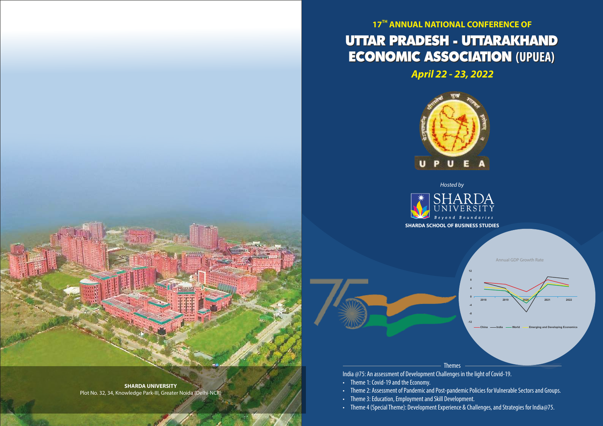# **17<sup>TH</sup> ANNUAL NATIONAL CONFERENCE OF** UTTAR PRADESH - UTTARAKHAND UTTAR PRADESH - UTTARAKHAND ECONOMIC ASSOCIATION **(UPUEA)** ECONOMIC ASSOCIATION **(UPUEA) April 22 - 23, 2022**





Hosted by

• Theme 2: Assessment of Pandemic and Post-pandemic Policies for Vulnerable Sectors and Groups.

- Theme 1: Covid-19 and the Economy.
- 
- Theme 3: Education, Employment and Skill Development.
- Theme 4 (Special Theme): Development Experience & Challenges, and Strategies for India@75.



India @75: An assessment of Development Challenges in the light of Covid-19.

**SHARDA UNIVERSITY** Plot No. 32, 34, Knowledge Park-III, Greater Noida (Delhi-NCR)

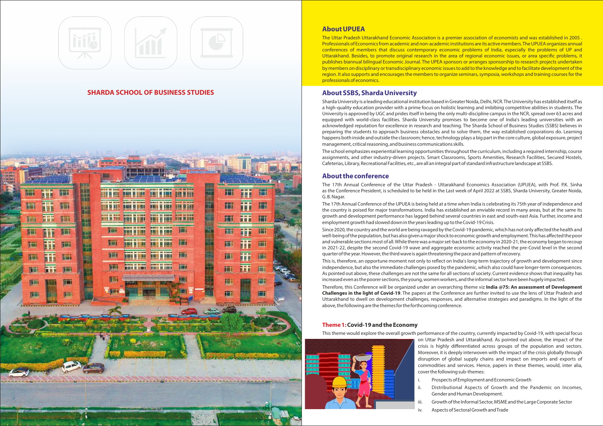# **About UPUEA**

The Uttar Pradesh Uttarakhand Economic Association is a premier association of economists and was established in 2005 . Professionals of Economics from academic and non-academic institutions are its active members. The UPUEA organizes annual conferences of members that discuss contemporary economic problems of India, especially the problems of UP and Uttarakhand. Besides, to promote original research in the area of regional economic issues, or area specific problems, it publishes biannual bilingual Economic Journal. The UPEA sponsors or arranges sponsorship to research projects undertaken by members on disciplinary or transdisciplinary economic issues to add to the knowledge and to facilitate development of the region. It also supports and encourages the members to organize seminars, symposia, workshops and training courses for the professionals of economics.

# **About SSBS, Sharda University**

Sharda University is a leading educational institution based in Greater Noida, Delhi, NCR. The University has established itself as a high-quality education provider with a prime focus on holistic learning and imbibing competitive abilities in students. The University is approved by UGC and prides itself in being the only multi-discipline campus in the NCR, spread over 63 acres and equipped with world-class facilities. Sharda University promises to become one of India's leading universities with an acknowledged reputation for excellence in research and teaching. The Sharda School of Business Studies (SSBS) believes in preparing the students to approach business obstacles and to solve them, the way established corporations do. Learning happens both inside and outside the classroom; hence, technology plays a big part in the core culture, global exposure, project management, critical reasoning, and business communications skills.

The school emphasizes experiential learning opportunities throughout the curriculum, including a required internship, course assignments, and other industry-driven projects. Smart Classrooms, Sports Amenities, Research Facilities, Secured Hostels, Cafeterias, Library, Recreational Facilities, etc., are all an integral part of standard infrastructure landscape at SSBS.

# **About the conference**

The 17th Annual Conference of the Uttar Pradesh - Uttarakhand Economics Association (UPUEA), with Prof. P.K. Sinha as the Conference President, is scheduled to be held in the Last week of April 2022 at SSBS, Sharda University, Greater Noida, G. B. Nagar.

The 17th Annual Conference of the UPUEA is being held at a time when India is celebrating its 75th year of independence and the country is poised for major transformations. India has established an enviable record in many areas, but at the same its growth and development performance has lagged behind several countries in east and south-east Asia. Further, income and employment growth had slowed down in the years leading up to the Covid-19 Crisis. Since 2020, the country and the world are being ravaged by the Covid-19 pandemic, which has not only affected the health and well-being of the population, but has also given a major shock to economic growth and employment. This has affected the poor and vulnerable sections most of all. While there was a major set-back to the economy in 2020-21, the economy began to recoup in 2021-22, despite the second Covid-19 wave and aggregate economic activity reached the pre-Covid level in the second quarter of the year. However, the third wave is again threatening the pace and pattern of recovery. This is, therefore, an opportune moment not only to reflect on India's long-term trajectory of growth and development since independence, but also the immediate challenges posed by the pandemic, which also could have longer-term consequences. As pointed out above, these challenges are not the same for all sections of society. Current evidence shows that inequality has increased even as the poorer sections, the young, women workers, and the informal sector have been hugely impacted. Therefore, this Conference will be organized under an overarching theme viz **India @75: An assessment of Development Challenges in the light of Covid-19**. The papers at the Conference are further invited to use the lens of Uttar Pradesh and Uttarakhand to dwell on development challenges, responses, and alternative strategies and paradigms. In the light of the above, the following are the themes for the forthcoming conference.

# **Theme 1:Covid-19 and the Economy**

This theme would explore the overall growth performance of the country, currently impacted by Covid-19, with special focus on Uttar Pradesh and Uttarakhand. As pointed out above, the impact of the crisis is highly differentiated across groups of the population and sectors. Moreover, it is deeply interwoven with the impact of the crisis globally through disruption of global supply chains and impact on imports and exports of commodities and services. Hence, papers in these themes, would, inter alia, cover the following sub-themes:



- 
- 
- -

i. Prospects of Employment and Economic Growth

ii. Distributional Aspects of Growth and the Pandemic on Incomes, Gender and Human Development.

iii. Growth of the Informal Sector, MSME and the Large Corporate Sector

iv. Aspects of Sectoral Growth and Trade



# **SHARDA SCHOOL OF BUSINESS STUDIES**

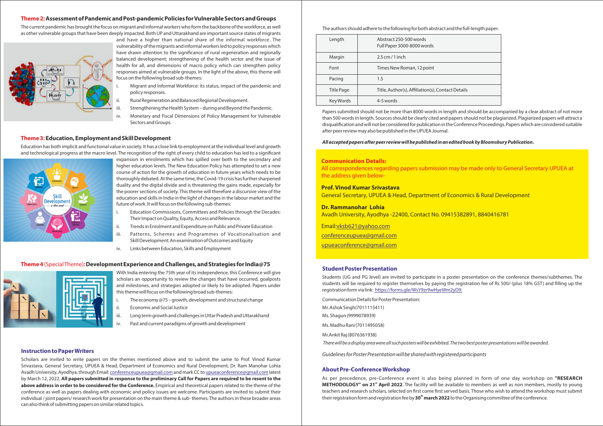### **Theme 2:Assessment of Pandemic and Post-pandemic Policies for Vulnerable Sectors and Groups**

The current pandemic has brought the focus on migrant and informal workers who form the backbone of the workforce, as well as other vulnerable groups that have been deeply impacted. Both UP and Uttarakhand are important source states of migrants



- Migrant and Informal Workforce: its status, impact of the pandemic and policy responses.
- Rural Regeneration and Balanced Regional Development.
- Strengthening the Health System during and Beyond the Pandemic.
- iv. Monetary and Fiscal Dimensions of Policy Management for Vulnerable Sectors and Groups.

and have a higher than national share of the informal workforce. The vulnerability of the migrants and informal workers led to policy responses which have drawn attention to the significance of rural regeneration and regionally balanced development; strengthening of the health sector and the issue of health for all, and dimensions of macro policy which can strengthen policy responses aimed at vulnerable groups. In the light of the above, this theme will focus on the following broad sub-themes:

Education has both implicit and functional value in society. It has a close link to employment at the individual level and growth and technological progress at the macro level. The recognition of the right of every child to education has led to a significant



#### **Theme 3:Education, Employment and Skill Development**

- The economy  $@75$  growth, development and structural change
- Economic and Social Justice
- iii. Long term growth and challenges in Uttar Pradesh and Uttarakhand
- iv. Past and current paradigms of growth and development

expansion in enrolments which has spilled over both to the secondary and higher education levels. The New Education Policy has attempted to set a new course of action for the growth of education in future years which needs to be thoroughly debated. At the same time, the Covid-19 crisis has further sharpened duality and the digital divide and is threatening the gains made, especially for the poorer sections of society. This theme will therefore a discursive view of the education and skills in India in the light of changes in the labour market and the future of work. It will focus on the following sub-themes:

- i. Education Commissions, Committees and Policies through the Decades: Their Impact on Quality, Equity, Access and Relevance.
- ii. Trends in Enrolment and Expenditure on Public and Private Education
- iii. Patterns, Schemes and Programmes of Vocationalisation and Skill Development: An examination of Outcomes and Equity
- iv. Links between Education, Skills and Employment

# **Theme 4** (Special Theme)**:Development Experience and Challenges, and Strategies for India@75**



With India entering the 75th year of its independence, this Conference will give scholars an opportunity to review the changes that have occurred, goalposts and milestones, and strategies adopted or likely to be adopted. Papers under this theme will focus on the following broad sub-themes:

#### **Instruction to Paper Writers**

Scholars are invited to write papers on the themes mentioned above and to submit the same to Prof. Vinod Kumar Srivastava, General Secretary, UPUEA & Head, Department of Economics and Rural Development, Dr. Ram Manohar Lohia Avadh University, Ayodhya, through Email: conferenceupuea@gmail.com and mark CC to upueaconference@gmail.com latest by March 12, 2022. **All papers submitted in response to the preliminary Call for Papers are required to be resent to the above address in order to be considered for the Conference.** Empirical and theoretical papers related to the theme of the conference as well as papers dealing with economic and policy issues are welcome. Participants are invited to submit their individual / joint papers/ research work for presentation on the main theme & sub- themes. The authors in these broader areas can also think of submitting papers on similar related topics.

#### **Communication Details:**

All correspondences regarding papers submission may be made only to General Secretary UPUEA at the address given below-

#### **Prof. Vinod Kumar Srivastava**

General Secretary, UPUEA & Head, Department of Economics & Rural Development

#### **Dr. Rammanohar Lohia**

Avadh University, Ayodhya -22400, Contact No. 09415382891, 8840416781

Email:vksb621@yahoo.com

conferenceupuea@gmail.com

upueaconference@gmail.com

#### **Student Poster Presentation**

Students (UG and PG level) are invited to participate in a poster presentation on the conference themes/subthemes. The students will be required to register themselves by paying the registration fee of Rs 500/-(plus 18% GST) and filling up the registration form via link: https://forms.gle/WsY9zr9wHyeWm2yD9.

Communication Details for Poster Presentation:

Mr. Ashok Singh(7011115411)

Ms. Shagun (9999078939)

Ms. Madhu Rani (7011495058)

Mr.Ankit Raj (8076361938)

There will be a display area were all such posters will be exhibited. The two best poster presentations will be awarded.

Guidelines for Poster Presentation will be shared with registered participants

#### The authors should adhere to the following for both abstract and the full-length paper.

| Length     | Abstract 250-500 words<br>Full Paper 3000-8000 words |
|------------|------------------------------------------------------|
| Margin     | $2.5$ cm $/1$ inch                                   |
| Font       | Times New Roman, 12 point                            |
| Pacing     | 1.5                                                  |
| Title Page | Title, Author(s), Affiliation(s), Contact Details    |
| Key Words  | 4-5 words                                            |

Papers submitted should not be more than 8000 words in length and should be accompanied by a clear abstract of not more than 500 words in length. Sources should be clearly cited and papers should not be plagiarized. Plagiarized papers will attract a disqualification and will not be considered for publication in the Conference Proceedings. Papers which are considered suitable after peer review may also be published in the UPUEA Journal.

#### **All accepted papers after peer review will be published in an edited book by Bloomsbury Publication.**

#### **About Pre-Conference Workshop**

As per precedence, pre-Conference event is also being planned in form of one day workshop on **"RESEARCH METHODOLOGY" on 21<sup><sup>\*</sup> April 2022.** The facility will be available to members as well as non members, mostly to young</sup> teachers and research scholars, selected on first come first served basis. Those who wish to attend the workshop must submit **th** their registration form and registration fee by **30 march 2022**to the Organising committee of the conference.

| etails |  |
|--------|--|
|        |  |